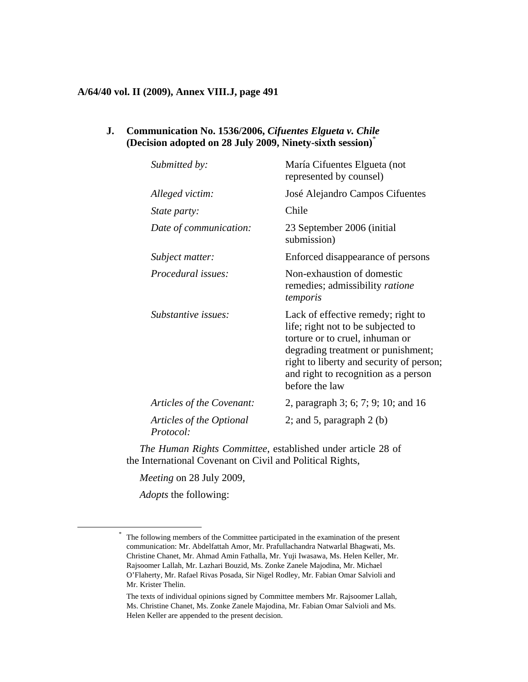#### **A/64/40 vol. II (2009), Annex VIII.J, page 491**

### **J. Communication No. 1536/2006,** *Cifuentes Elgueta v. Chile*  **(Decision adopted on 28 July 2009, Ninety-sixth session)**\*

| Submitted by:                         | María Cifuentes Elgueta (not<br>represented by counsel)                                                                                                                                                                                                 |
|---------------------------------------|---------------------------------------------------------------------------------------------------------------------------------------------------------------------------------------------------------------------------------------------------------|
| Alleged victim:                       | José Alejandro Campos Cifuentes                                                                                                                                                                                                                         |
| State party:                          | Chile                                                                                                                                                                                                                                                   |
| Date of communication:                | 23 September 2006 (initial<br>submission)                                                                                                                                                                                                               |
| Subject matter:                       | Enforced disappearance of persons                                                                                                                                                                                                                       |
| <i>Procedural issues:</i>             | Non-exhaustion of domestic<br>remedies; admissibility ratione<br>temporis                                                                                                                                                                               |
| Substantive issues:                   | Lack of effective remedy; right to<br>life; right not to be subjected to<br>torture or to cruel, inhuman or<br>degrading treatment or punishment;<br>right to liberty and security of person;<br>and right to recognition as a person<br>before the law |
| Articles of the Covenant:             | 2, paragraph 3; 6; 7; 9; 10; and 16                                                                                                                                                                                                                     |
| Articles of the Optional<br>Protocol: | 2; and 5, paragraph $2$ (b)                                                                                                                                                                                                                             |

*The Human Rights Committee*, established under article 28 of the International Covenant on Civil and Political Rights,

*Meeting* on 28 July 2009,

*Adopts* the following:

 <sup>\*</sup> The following members of the Committee participated in the examination of the present communication: Mr. Abdelfattah Amor, Mr. Prafullachandra Natwarlal Bhagwati, Ms. Christine Chanet, Mr. Ahmad Amin Fathalla, Mr. Yuji Iwasawa, Ms. Helen Keller, Mr. Rajsoomer Lallah, Mr. Lazhari Bouzid, Ms. Zonke Zanele Majodina, Mr. Michael O'Flaherty, Mr. Rafael Rivas Posada, Sir Nigel Rodley, Mr. Fabian Omar Salvioli and Mr. Krister Thelin.

The texts of individual opinions signed by Committee members Mr. Rajsoomer Lallah, Ms. Christine Chanet, Ms. Zonke Zanele Majodina, Mr. Fabian Omar Salvioli and Ms. Helen Keller are appended to the present decision.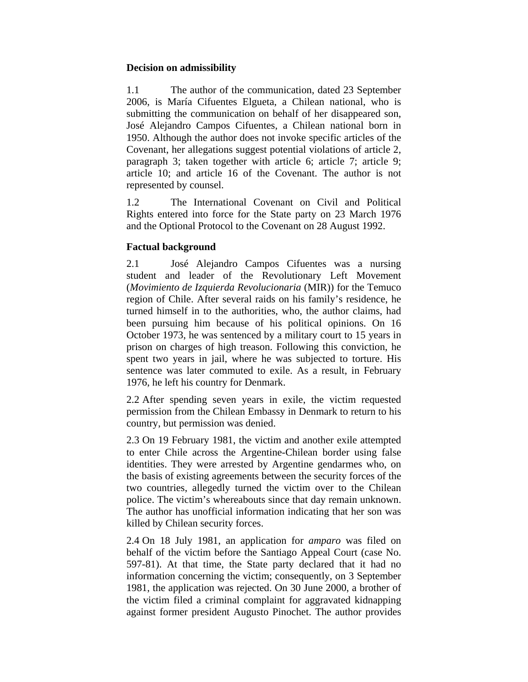### **Decision on admissibility**

1.1 The author of the communication, dated 23 September 2006, is María Cifuentes Elgueta, a Chilean national, who is submitting the communication on behalf of her disappeared son, José Alejandro Campos Cifuentes, a Chilean national born in 1950. Although the author does not invoke specific articles of the Covenant, her allegations suggest potential violations of article 2, paragraph 3; taken together with article 6; article 7; article 9; article 10; and article 16 of the Covenant. The author is not represented by counsel.

1.2 The International Covenant on Civil and Political Rights entered into force for the State party on 23 March 1976 and the Optional Protocol to the Covenant on 28 August 1992.

## **Factual background**

2.1 José Alejandro Campos Cifuentes was a nursing student and leader of the Revolutionary Left Movement (*Movimiento de Izquierda Revolucionaria* (MIR)) for the Temuco region of Chile. After several raids on his family's residence, he turned himself in to the authorities, who, the author claims, had been pursuing him because of his political opinions. On 16 October 1973, he was sentenced by a military court to 15 years in prison on charges of high treason. Following this conviction, he spent two years in jail, where he was subjected to torture. His sentence was later commuted to exile. As a result, in February 1976, he left his country for Denmark.

2.2 After spending seven years in exile, the victim requested permission from the Chilean Embassy in Denmark to return to his country, but permission was denied.

2.3 On 19 February 1981, the victim and another exile attempted to enter Chile across the Argentine-Chilean border using false identities. They were arrested by Argentine gendarmes who, on the basis of existing agreements between the security forces of the two countries, allegedly turned the victim over to the Chilean police. The victim's whereabouts since that day remain unknown. The author has unofficial information indicating that her son was killed by Chilean security forces.

2.4 On 18 July 1981, an application for *amparo* was filed on behalf of the victim before the Santiago Appeal Court (case No. 597-81). At that time, the State party declared that it had no information concerning the victim; consequently, on 3 September 1981, the application was rejected. On 30 June 2000, a brother of the victim filed a criminal complaint for aggravated kidnapping against former president Augusto Pinochet. The author provides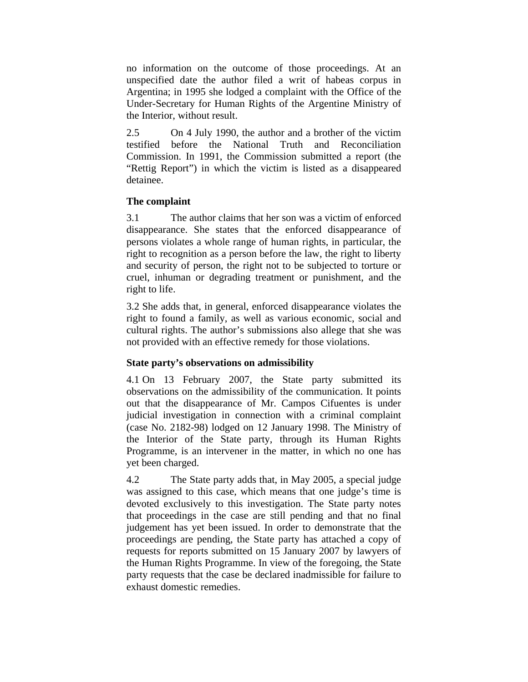no information on the outcome of those proceedings. At an unspecified date the author filed a writ of habeas corpus in Argentina; in 1995 she lodged a complaint with the Office of the Under-Secretary for Human Rights of the Argentine Ministry of the Interior, without result.

2.5 On 4 July 1990, the author and a brother of the victim testified before the National Truth and Reconciliation Commission. In 1991, the Commission submitted a report (the "Rettig Report") in which the victim is listed as a disappeared detainee.

# **The complaint**

3.1 The author claims that her son was a victim of enforced disappearance. She states that the enforced disappearance of persons violates a whole range of human rights, in particular, the right to recognition as a person before the law, the right to liberty and security of person, the right not to be subjected to torture or cruel, inhuman or degrading treatment or punishment, and the right to life.

3.2 She adds that, in general, enforced disappearance violates the right to found a family, as well as various economic, social and cultural rights. The author's submissions also allege that she was not provided with an effective remedy for those violations.

# **State party's observations on admissibility**

4.1 On 13 February 2007, the State party submitted its observations on the admissibility of the communication. It points out that the disappearance of Mr. Campos Cifuentes is under judicial investigation in connection with a criminal complaint (case No. 2182-98) lodged on 12 January 1998. The Ministry of the Interior of the State party, through its Human Rights Programme, is an intervener in the matter, in which no one has yet been charged.

4.2 The State party adds that, in May 2005, a special judge was assigned to this case, which means that one judge's time is devoted exclusively to this investigation. The State party notes that proceedings in the case are still pending and that no final judgement has yet been issued. In order to demonstrate that the proceedings are pending, the State party has attached a copy of requests for reports submitted on 15 January 2007 by lawyers of the Human Rights Programme. In view of the foregoing, the State party requests that the case be declared inadmissible for failure to exhaust domestic remedies.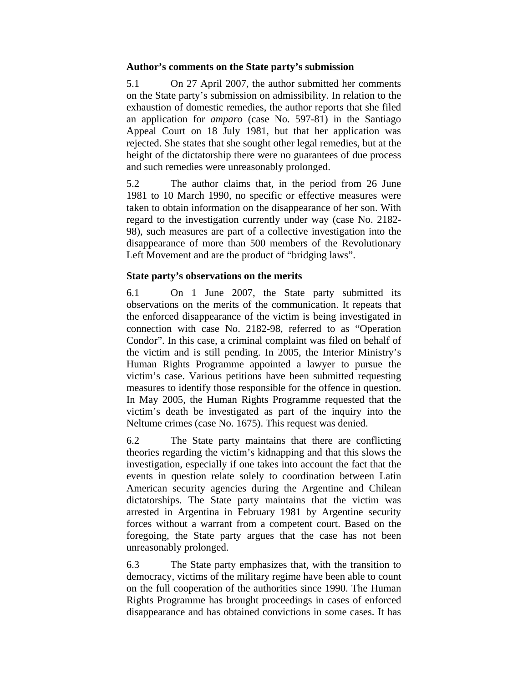#### **Author's comments on the State party's submission**

5.1 On 27 April 2007, the author submitted her comments on the State party's submission on admissibility. In relation to the exhaustion of domestic remedies, the author reports that she filed an application for *amparo* (case No. 597-81) in the Santiago Appeal Court on 18 July 1981, but that her application was rejected. She states that she sought other legal remedies, but at the height of the dictatorship there were no guarantees of due process and such remedies were unreasonably prolonged.

5.2 The author claims that, in the period from 26 June 1981 to 10 March 1990, no specific or effective measures were taken to obtain information on the disappearance of her son. With regard to the investigation currently under way (case No. 2182- 98), such measures are part of a collective investigation into the disappearance of more than 500 members of the Revolutionary Left Movement and are the product of "bridging laws".

## **State party's observations on the merits**

6.1 On 1 June 2007, the State party submitted its observations on the merits of the communication. It repeats that the enforced disappearance of the victim is being investigated in connection with case No. 2182-98, referred to as "Operation Condor". In this case, a criminal complaint was filed on behalf of the victim and is still pending. In 2005, the Interior Ministry's Human Rights Programme appointed a lawyer to pursue the victim's case. Various petitions have been submitted requesting measures to identify those responsible for the offence in question. In May 2005, the Human Rights Programme requested that the victim's death be investigated as part of the inquiry into the Neltume crimes (case No. 1675). This request was denied.

6.2 The State party maintains that there are conflicting theories regarding the victim's kidnapping and that this slows the investigation, especially if one takes into account the fact that the events in question relate solely to coordination between Latin American security agencies during the Argentine and Chilean dictatorships. The State party maintains that the victim was arrested in Argentina in February 1981 by Argentine security forces without a warrant from a competent court. Based on the foregoing, the State party argues that the case has not been unreasonably prolonged.

6.3 The State party emphasizes that, with the transition to democracy, victims of the military regime have been able to count on the full cooperation of the authorities since 1990. The Human Rights Programme has brought proceedings in cases of enforced disappearance and has obtained convictions in some cases. It has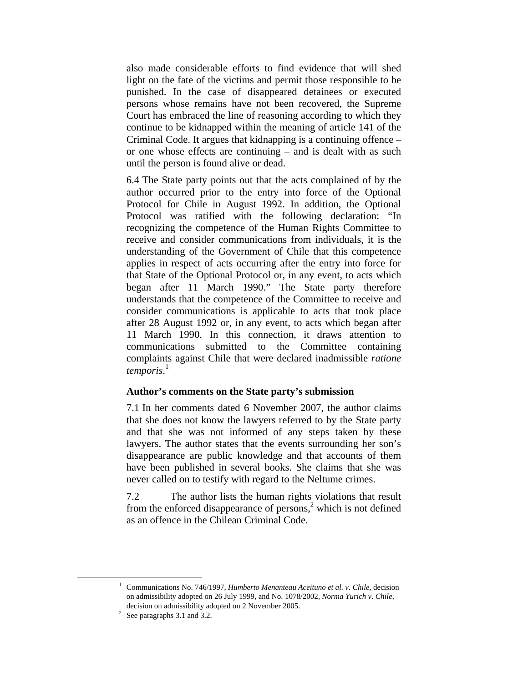also made considerable efforts to find evidence that will shed light on the fate of the victims and permit those responsible to be punished. In the case of disappeared detainees or executed persons whose remains have not been recovered, the Supreme Court has embraced the line of reasoning according to which they continue to be kidnapped within the meaning of article 141 of the Criminal Code. It argues that kidnapping is a continuing offence – or one whose effects are continuing – and is dealt with as such until the person is found alive or dead.

6.4 The State party points out that the acts complained of by the author occurred prior to the entry into force of the Optional Protocol for Chile in August 1992. In addition, the Optional Protocol was ratified with the following declaration: "In recognizing the competence of the Human Rights Committee to receive and consider communications from individuals, it is the understanding of the Government of Chile that this competence applies in respect of acts occurring after the entry into force for that State of the Optional Protocol or, in any event, to acts which began after 11 March 1990." The State party therefore understands that the competence of the Committee to receive and consider communications is applicable to acts that took place after 28 August 1992 or, in any event, to acts which began after 11 March 1990. In this connection, it draws attention to communications submitted to the Committee containing complaints against Chile that were declared inadmissible *ratione temporis*. 1

### **Author's comments on the State party's submission**

7.1 In her comments dated 6 November 2007, the author claims that she does not know the lawyers referred to by the State party and that she was not informed of any steps taken by these lawyers. The author states that the events surrounding her son's disappearance are public knowledge and that accounts of them have been published in several books. She claims that she was never called on to testify with regard to the Neltume crimes.

7.2 The author lists the human rights violations that result from the enforced disappearance of persons, $<sup>2</sup>$  which is not defined</sup> as an offence in the Chilean Criminal Code.

<sup>&</sup>lt;u>1</u> Communications No. 746/1997, *Humberto Menanteau Aceituno et al. v. Chile*, decision on admissibility adopted on 26 July 1999, and No. 1078/2002, *Norma Yurich v. Chile*, decision on admissibility adopted on 2 November 2005.

 $2$  See paragraphs 3.1 and 3.2.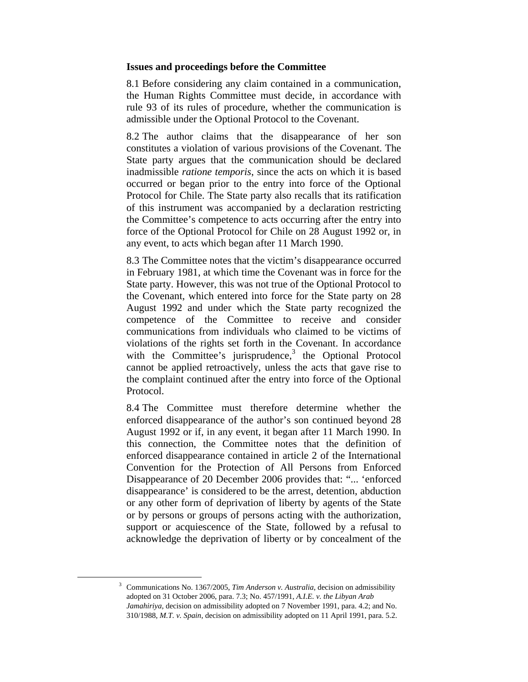#### **Issues and proceedings before the Committee**

8.1 Before considering any claim contained in a communication, the Human Rights Committee must decide, in accordance with rule 93 of its rules of procedure, whether the communication is admissible under the Optional Protocol to the Covenant.

8.2 The author claims that the disappearance of her son constitutes a violation of various provisions of the Covenant. The State party argues that the communication should be declared inadmissible *ratione temporis*, since the acts on which it is based occurred or began prior to the entry into force of the Optional Protocol for Chile. The State party also recalls that its ratification of this instrument was accompanied by a declaration restricting the Committee's competence to acts occurring after the entry into force of the Optional Protocol for Chile on 28 August 1992 or, in any event, to acts which began after 11 March 1990.

8.3 The Committee notes that the victim's disappearance occurred in February 1981, at which time the Covenant was in force for the State party. However, this was not true of the Optional Protocol to the Covenant, which entered into force for the State party on 28 August 1992 and under which the State party recognized the competence of the Committee to receive and consider communications from individuals who claimed to be victims of violations of the rights set forth in the Covenant. In accordance with the Committee's jurisprudence, $3$  the Optional Protocol cannot be applied retroactively, unless the acts that gave rise to the complaint continued after the entry into force of the Optional Protocol.

8.4 The Committee must therefore determine whether the enforced disappearance of the author's son continued beyond 28 August 1992 or if, in any event, it began after 11 March 1990. In this connection, the Committee notes that the definition of enforced disappearance contained in article 2 of the International Convention for the Protection of All Persons from Enforced Disappearance of 20 December 2006 provides that: "... 'enforced disappearance' is considered to be the arrest, detention, abduction or any other form of deprivation of liberty by agents of the State or by persons or groups of persons acting with the authorization, support or acquiescence of the State, followed by a refusal to acknowledge the deprivation of liberty or by concealment of the

 3 Communications No. 1367/2005, *Tim Anderson v. Australia*, decision on admissibility adopted on 31 October 2006, para. 7.3; No. 457/1991, *A.I.E. v. the Libyan Arab Jamahiriya*, decision on admissibility adopted on 7 November 1991, para. 4.2; and No. 310/1988, *M.T. v. Spain*, decision on admissibility adopted on 11 April 1991, para. 5.2.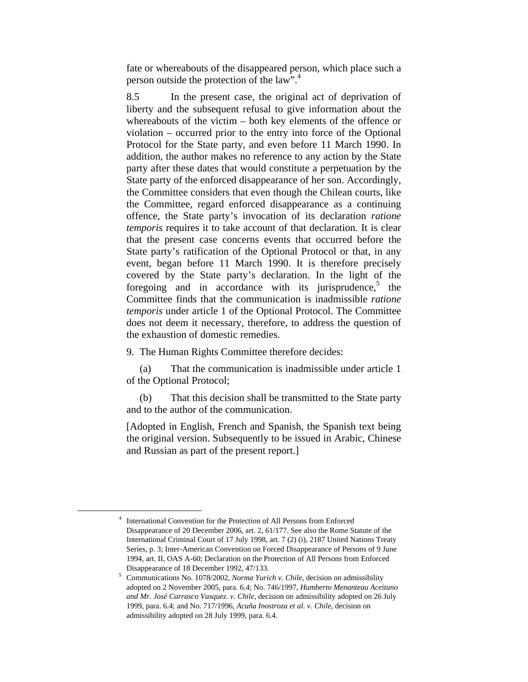fate or whereabouts of the disappeared person, which place such a person outside the protection of the law".4

8.5 In the present case, the original act of deprivation of liberty and the subsequent refusal to give information about the whereabouts of the victim – both key elements of the offence or violation – occurred prior to the entry into force of the Optional Protocol for the State party, and even before 11 March 1990. In addition, the author makes no reference to any action by the State party after these dates that would constitute a perpetuation by the State party of the enforced disappearance of her son. Accordingly, the Committee considers that even though the Chilean courts, like the Committee, regard enforced disappearance as a continuing offence, the State party's invocation of its declaration *ratione temporis* requires it to take account of that declaration. It is clear that the present case concerns events that occurred before the State party's ratification of the Optional Protocol or that, in any event, began before 11 March 1990. It is therefore precisely covered by the State party's declaration. In the light of the foregoing and in accordance with its jurisprudence, $5$  the Committee finds that the communication is inadmissible *ratione temporis* under article 1 of the Optional Protocol. The Committee does not deem it necessary, therefore, to address the question of the exhaustion of domestic remedies.

9. The Human Rights Committee therefore decides:

 (a) That the communication is inadmissible under article 1 of the Optional Protocol;

 (b) That this decision shall be transmitted to the State party and to the author of the communication.

[Adopted in English, French and Spanish, the Spanish text being the original version. Subsequently to be issued in Arabic, Chinese and Russian as part of the present report.]

 <sup>4</sup> <sup>4</sup> International Convention for the Protection of All Persons from Enforced Disappearance of 20 December 2006, art. 2, 61/177. See also the Rome Statute of the International Criminal Court of 17 July 1998, art. 7 (2) (i), 2187 United Nations Treaty Series, p. 3; Inter-American Convention on Forced Disappearance of Persons of 9 June 1994, art. II, OAS A-60; Declaration on the Protection of All Persons from Enforced Disappearance of 18 December 1992, 47/133.

Communications No. 1078/2002, *Norma Yurich v. Chile*, decision on admissibility adopted on 2 November 2005, para. 6.4; No. 746/1997, *Humberto Menanteau Aceituno and Mr. José Carrasco Vasquez. v. Chile*, decision on admissibility adopted on 26 July 1999, para. 6.4; and No. 717/1996, *Acuña Inostroza et al. v. Chile*, decision on admissibility adopted on 28 July 1999, para. 6.4.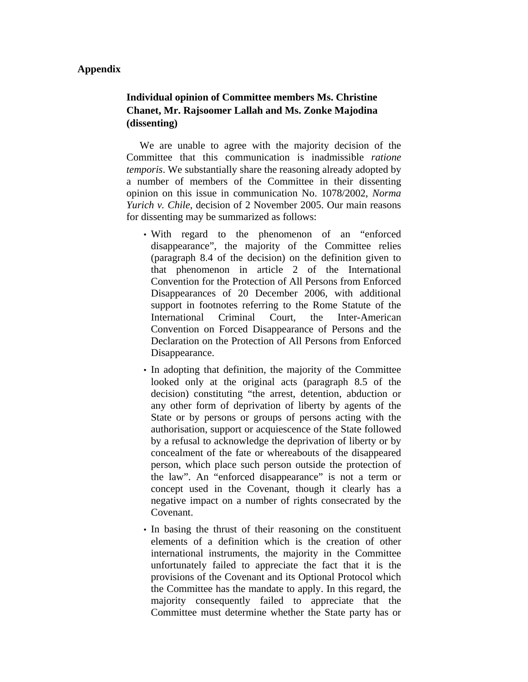### **Appendix**

# **Individual opinion of Committee members Ms. Christine Chanet, Mr. Rajsoomer Lallah and Ms. Zonke Majodina (dissenting)**

 We are unable to agree with the majority decision of the Committee that this communication is inadmissible *ratione temporis*. We substantially share the reasoning already adopted by a number of members of the Committee in their dissenting opinion on this issue in communication No. 1078/2002, *Norma Yurich v. Chile*, decision of 2 November 2005. Our main reasons for dissenting may be summarized as follows:

- With regard to the phenomenon of an "enforced" disappearance", the majority of the Committee relies (paragraph 8.4 of the decision) on the definition given to that phenomenon in article 2 of the International Convention for the Protection of All Persons from Enforced Disappearances of 20 December 2006, with additional support in footnotes referring to the Rome Statute of the International Criminal Court, the Inter-American Convention on Forced Disappearance of Persons and the Declaration on the Protection of All Persons from Enforced Disappearance.
- In adopting that definition, the majority of the Committee looked only at the original acts (paragraph 8.5 of the decision) constituting "the arrest, detention, abduction or any other form of deprivation of liberty by agents of the State or by persons or groups of persons acting with the authorisation, support or acquiescence of the State followed by a refusal to acknowledge the deprivation of liberty or by concealment of the fate or whereabouts of the disappeared person, which place such person outside the protection of the law". An "enforced disappearance" is not a term or concept used in the Covenant, though it clearly has a negative impact on a number of rights consecrated by the Covenant.
- In basing the thrust of their reasoning on the constituent elements of a definition which is the creation of other international instruments, the majority in the Committee unfortunately failed to appreciate the fact that it is the provisions of the Covenant and its Optional Protocol which the Committee has the mandate to apply. In this regard, the majority consequently failed to appreciate that the Committee must determine whether the State party has or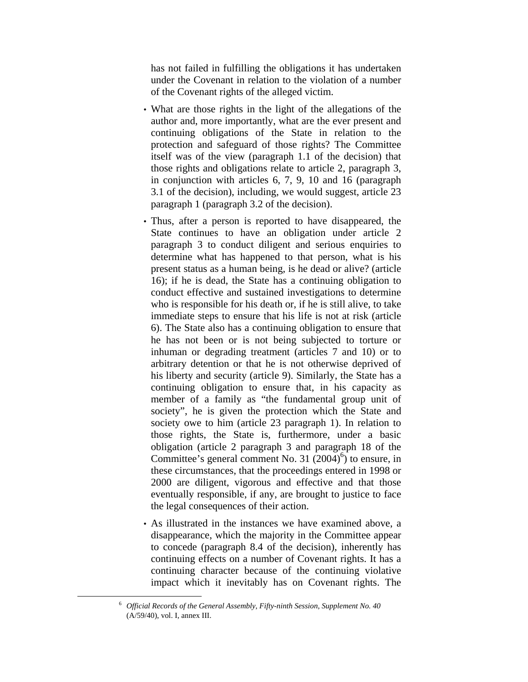has not failed in fulfilling the obligations it has undertaken under the Covenant in relation to the violation of a number of the Covenant rights of the alleged victim.

- What are those rights in the light of the allegations of the author and, more importantly, what are the ever present and continuing obligations of the State in relation to the protection and safeguard of those rights? The Committee itself was of the view (paragraph 1.1 of the decision) that those rights and obligations relate to article 2, paragraph 3, in conjunction with articles 6, 7, 9, 10 and 16 (paragraph 3.1 of the decision), including, we would suggest, article 23 paragraph 1 (paragraph 3.2 of the decision).
- Thus, after a person is reported to have disappeared, the State continues to have an obligation under article 2 paragraph 3 to conduct diligent and serious enquiries to determine what has happened to that person, what is his present status as a human being, is he dead or alive? (article 16); if he is dead, the State has a continuing obligation to conduct effective and sustained investigations to determine who is responsible for his death or, if he is still alive, to take immediate steps to ensure that his life is not at risk (article 6). The State also has a continuing obligation to ensure that he has not been or is not being subjected to torture or inhuman or degrading treatment (articles 7 and 10) or to arbitrary detention or that he is not otherwise deprived of his liberty and security (article 9). Similarly, the State has a continuing obligation to ensure that, in his capacity as member of a family as "the fundamental group unit of society", he is given the protection which the State and society owe to him (article 23 paragraph 1). In relation to those rights, the State is, furthermore, under a basic obligation (article 2 paragraph 3 and paragraph 18 of the Committee's general comment No. 31  $(2004)^6$ ) to ensure, in these circumstances, that the proceedings entered in 1998 or 2000 are diligent, vigorous and effective and that those eventually responsible, if any, are brought to justice to face the legal consequences of their action.
- As illustrated in the instances we have examined above, a disappearance, which the majority in the Committee appear to concede (paragraph 8.4 of the decision), inherently has continuing effects on a number of Covenant rights. It has a continuing character because of the continuing violative impact which it inevitably has on Covenant rights. The

 <sup>6</sup> *Official Records of the General Assembly, Fifty-ninth Session, Supplement No. 40* (A/59/40), vol. I, annex III.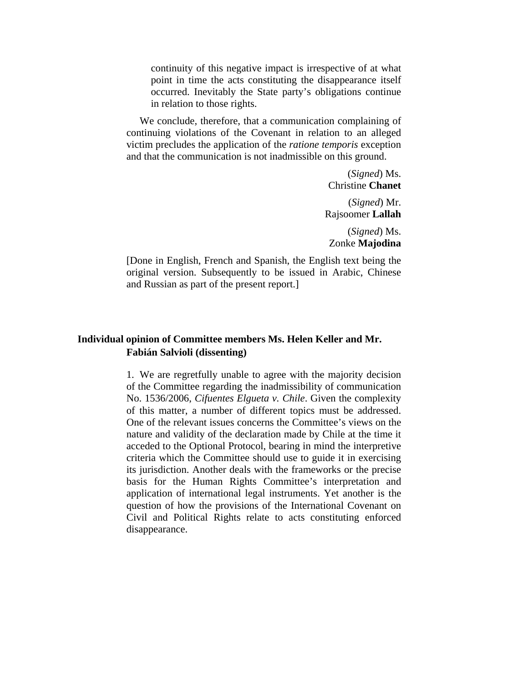continuity of this negative impact is irrespective of at what point in time the acts constituting the disappearance itself occurred. Inevitably the State party's obligations continue in relation to those rights.

 We conclude, therefore, that a communication complaining of continuing violations of the Covenant in relation to an alleged victim precludes the application of the *ratione temporis* exception and that the communication is not inadmissible on this ground.

> (*Signed*) Ms. Christine **Chanet**

(*Signed*) Mr. Rajsoomer **Lallah**

(*Signed*) Ms. Zonke **Majodina**

[Done in English, French and Spanish, the English text being the original version. Subsequently to be issued in Arabic, Chinese and Russian as part of the present report.]

## **Individual opinion of Committee members Ms. Helen Keller and Mr. Fabián Salvioli (dissenting)**

1. We are regretfully unable to agree with the majority decision of the Committee regarding the inadmissibility of communication No. 1536/2006, *Cifuentes Elgueta v. Chile*. Given the complexity of this matter, a number of different topics must be addressed. One of the relevant issues concerns the Committee's views on the nature and validity of the declaration made by Chile at the time it acceded to the Optional Protocol, bearing in mind the interpretive criteria which the Committee should use to guide it in exercising its jurisdiction. Another deals with the frameworks or the precise basis for the Human Rights Committee's interpretation and application of international legal instruments. Yet another is the question of how the provisions of the International Covenant on Civil and Political Rights relate to acts constituting enforced disappearance.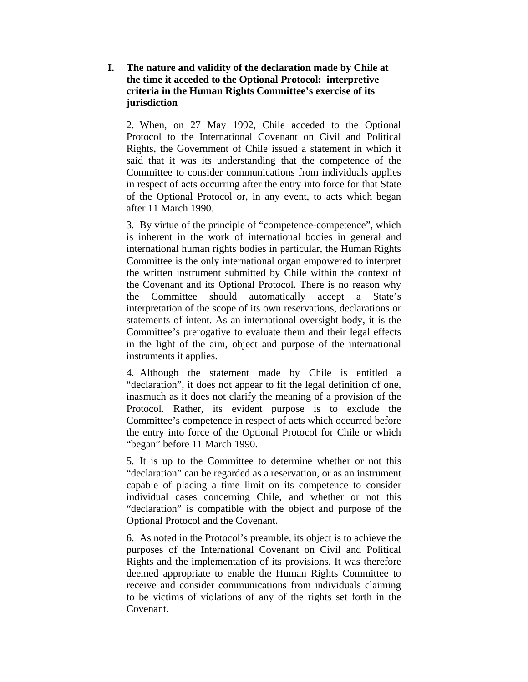## **I. The nature and validity of the declaration made by Chile at the time it acceded to the Optional Protocol: interpretive criteria in the Human Rights Committee's exercise of its jurisdiction**

2. When, on 27 May 1992, Chile acceded to the Optional Protocol to the International Covenant on Civil and Political Rights, the Government of Chile issued a statement in which it said that it was its understanding that the competence of the Committee to consider communications from individuals applies in respect of acts occurring after the entry into force for that State of the Optional Protocol or, in any event, to acts which began after 11 March 1990.

3. By virtue of the principle of "competence-competence", which is inherent in the work of international bodies in general and international human rights bodies in particular, the Human Rights Committee is the only international organ empowered to interpret the written instrument submitted by Chile within the context of the Covenant and its Optional Protocol. There is no reason why the Committee should automatically accept a State's interpretation of the scope of its own reservations, declarations or statements of intent. As an international oversight body, it is the Committee's prerogative to evaluate them and their legal effects in the light of the aim, object and purpose of the international instruments it applies.

4. Although the statement made by Chile is entitled a "declaration", it does not appear to fit the legal definition of one, inasmuch as it does not clarify the meaning of a provision of the Protocol. Rather, its evident purpose is to exclude the Committee's competence in respect of acts which occurred before the entry into force of the Optional Protocol for Chile or which "began" before 11 March 1990.

5. It is up to the Committee to determine whether or not this "declaration" can be regarded as a reservation, or as an instrument capable of placing a time limit on its competence to consider individual cases concerning Chile, and whether or not this "declaration" is compatible with the object and purpose of the Optional Protocol and the Covenant.

6. As noted in the Protocol's preamble, its object is to achieve the purposes of the International Covenant on Civil and Political Rights and the implementation of its provisions. It was therefore deemed appropriate to enable the Human Rights Committee to receive and consider communications from individuals claiming to be victims of violations of any of the rights set forth in the Covenant.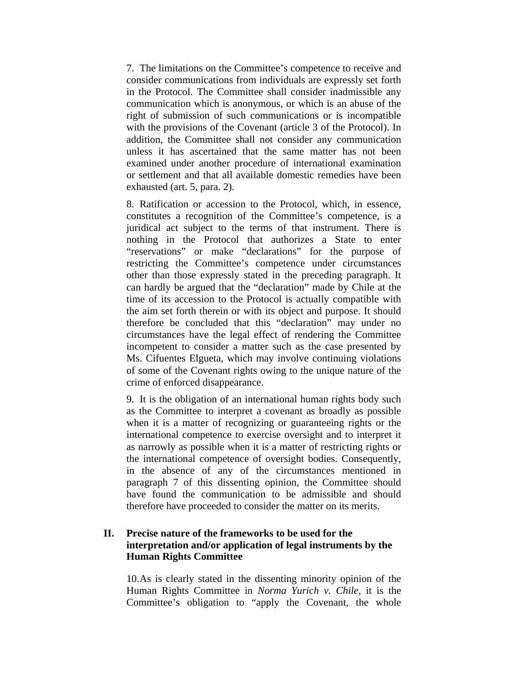7. The limitations on the Committee's competence to receive and consider communications from individuals are expressly set forth in the Protocol. The Committee shall consider inadmissible any communication which is anonymous, or which is an abuse of the right of submission of such communications or is incompatible with the provisions of the Covenant (article 3 of the Protocol). In addition, the Committee shall not consider any communication unless it has ascertained that the same matter has not been examined under another procedure of international examination or settlement and that all available domestic remedies have been exhausted (art. 5, para. 2).

8. Ratification or accession to the Protocol, which, in essence, constitutes a recognition of the Committee's competence, is a juridical act subject to the terms of that instrument. There is nothing in the Protocol that authorizes a State to enter "reservations" or make "declarations" for the purpose of restricting the Committee's competence under circumstances other than those expressly stated in the preceding paragraph. It can hardly be argued that the "declaration" made by Chile at the time of its accession to the Protocol is actually compatible with the aim set forth therein or with its object and purpose. It should therefore be concluded that this "declaration" may under no circumstances have the legal effect of rendering the Committee incompetent to consider a matter such as the case presented by Ms. Cifuentes Elgueta, which may involve continuing violations of some of the Covenant rights owing to the unique nature of the crime of enforced disappearance.

9. It is the obligation of an international human rights body such as the Committee to interpret a covenant as broadly as possible when it is a matter of recognizing or guaranteeing rights or the international competence to exercise oversight and to interpret it as narrowly as possible when it is a matter of restricting rights or the international competence of oversight bodies. Consequently, in the absence of any of the circumstances mentioned in paragraph 7 of this dissenting opinion, the Committee should have found the communication to be admissible and should therefore have proceeded to consider the matter on its merits.

## **II. Precise nature of the frameworks to be used for the interpretation and/or application of legal instruments by the Human Rights Committee**

10. As is clearly stated in the dissenting minority opinion of the Human Rights Committee in *Norma Yurich v. Chile*, it is the Committee's obligation to "apply the Covenant, the whole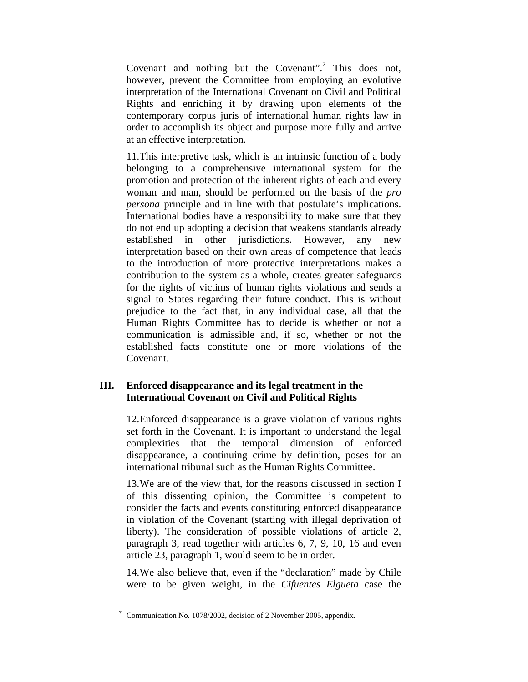Covenant and nothing but the Covenant".<sup>7</sup> This does not, however, prevent the Committee from employing an evolutive interpretation of the International Covenant on Civil and Political Rights and enriching it by drawing upon elements of the contemporary corpus juris of international human rights law in order to accomplish its object and purpose more fully and arrive at an effective interpretation.

11. This interpretive task, which is an intrinsic function of a body belonging to a comprehensive international system for the promotion and protection of the inherent rights of each and every woman and man, should be performed on the basis of the *pro persona* principle and in line with that postulate's implications. International bodies have a responsibility to make sure that they do not end up adopting a decision that weakens standards already established in other jurisdictions. However, any new interpretation based on their own areas of competence that leads to the introduction of more protective interpretations makes a contribution to the system as a whole, creates greater safeguards for the rights of victims of human rights violations and sends a signal to States regarding their future conduct. This is without prejudice to the fact that, in any individual case, all that the Human Rights Committee has to decide is whether or not a communication is admissible and, if so, whether or not the established facts constitute one or more violations of the Covenant.

## **III. Enforced disappearance and its legal treatment in the International Covenant on Civil and Political Rights**

12. Enforced disappearance is a grave violation of various rights set forth in the Covenant. It is important to understand the legal complexities that the temporal dimension of enforced disappearance, a continuing crime by definition, poses for an international tribunal such as the Human Rights Committee.

13. We are of the view that, for the reasons discussed in section I of this dissenting opinion, the Committee is competent to consider the facts and events constituting enforced disappearance in violation of the Covenant (starting with illegal deprivation of liberty). The consideration of possible violations of article 2, paragraph 3, read together with articles 6, 7, 9, 10, 16 and even article 23, paragraph 1, would seem to be in order.

14. We also believe that, even if the "declaration" made by Chile were to be given weight, in the *Cifuentes Elgueta* case the

 <sup>7</sup>  $7$  Communication No. 1078/2002, decision of 2 November 2005, appendix.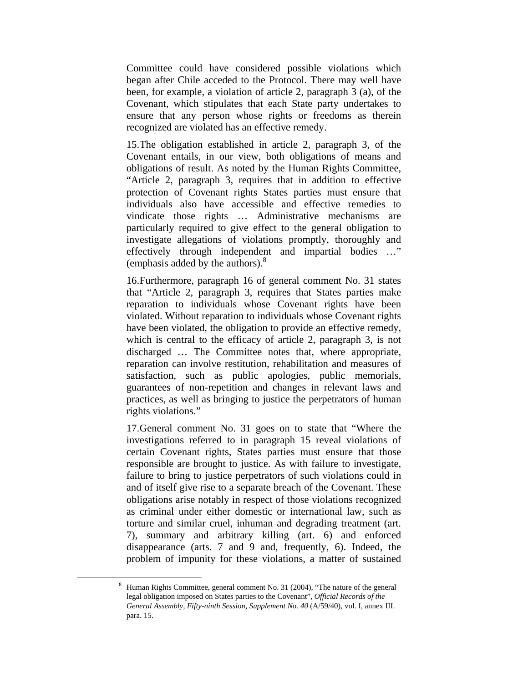Committee could have considered possible violations which began after Chile acceded to the Protocol. There may well have been, for example, a violation of article 2, paragraph 3 (a), of the Covenant, which stipulates that each State party undertakes to ensure that any person whose rights or freedoms as therein recognized are violated has an effective remedy.

15. The obligation established in article 2, paragraph 3, of the Covenant entails, in our view, both obligations of means and obligations of result. As noted by the Human Rights Committee, "Article 2, paragraph 3, requires that in addition to effective protection of Covenant rights States parties must ensure that individuals also have accessible and effective remedies to vindicate those rights … Administrative mechanisms are particularly required to give effect to the general obligation to investigate allegations of violations promptly, thoroughly and effectively through independent and impartial bodies …" (emphasis added by the authors). $8<sup>8</sup>$ 

16. Furthermore, paragraph 16 of general comment No. 31 states that "Article 2, paragraph 3, requires that States parties make reparation to individuals whose Covenant rights have been violated. Without reparation to individuals whose Covenant rights have been violated, the obligation to provide an effective remedy, which is central to the efficacy of article 2, paragraph 3, is not discharged … The Committee notes that, where appropriate, reparation can involve restitution, rehabilitation and measures of satisfaction, such as public apologies, public memorials, guarantees of non-repetition and changes in relevant laws and practices, as well as bringing to justice the perpetrators of human rights violations."

17. General comment No. 31 goes on to state that "Where the investigations referred to in paragraph 15 reveal violations of certain Covenant rights, States parties must ensure that those responsible are brought to justice. As with failure to investigate, failure to bring to justice perpetrators of such violations could in and of itself give rise to a separate breach of the Covenant. These obligations arise notably in respect of those violations recognized as criminal under either domestic or international law, such as torture and similar cruel, inhuman and degrading treatment (art. 7), summary and arbitrary killing (art. 6) and enforced disappearance (arts. 7 and 9 and, frequently, 6). Indeed, the problem of impunity for these violations, a matter of sustained

 <sup>8</sup> Human Rights Committee, general comment No. 31 (2004), "The nature of the general legal obligation imposed on States parties to the Covenant", *Official Records of the General Assembly, Fifty-ninth Session, Supplement No. 40* (A/59/40), vol. I, annex III. para. 15.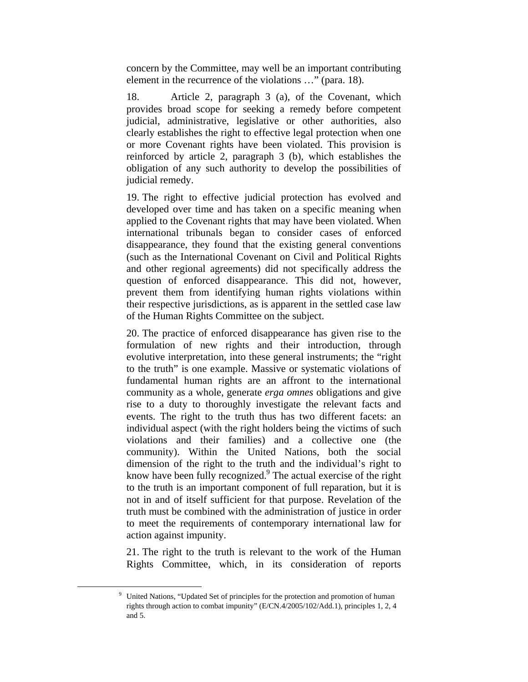concern by the Committee, may well be an important contributing element in the recurrence of the violations …" (para. 18).

18. Article 2, paragraph 3 (a), of the Covenant, which provides broad scope for seeking a remedy before competent judicial, administrative, legislative or other authorities, also clearly establishes the right to effective legal protection when one or more Covenant rights have been violated. This provision is reinforced by article 2, paragraph 3 (b), which establishes the obligation of any such authority to develop the possibilities of judicial remedy.

19. The right to effective judicial protection has evolved and developed over time and has taken on a specific meaning when applied to the Covenant rights that may have been violated. When international tribunals began to consider cases of enforced disappearance, they found that the existing general conventions (such as the International Covenant on Civil and Political Rights and other regional agreements) did not specifically address the question of enforced disappearance. This did not, however, prevent them from identifying human rights violations within their respective jurisdictions, as is apparent in the settled case law of the Human Rights Committee on the subject.

20. The practice of enforced disappearance has given rise to the formulation of new rights and their introduction, through evolutive interpretation, into these general instruments; the "right to the truth" is one example. Massive or systematic violations of fundamental human rights are an affront to the international community as a whole, generate *erga omnes* obligations and give rise to a duty to thoroughly investigate the relevant facts and events. The right to the truth thus has two different facets: an individual aspect (with the right holders being the victims of such violations and their families) and a collective one (the community). Within the United Nations, both the social dimension of the right to the truth and the individual's right to know have been fully recognized.<sup>9</sup> The actual exercise of the right to the truth is an important component of full reparation, but it is not in and of itself sufficient for that purpose. Revelation of the truth must be combined with the administration of justice in order to meet the requirements of contemporary international law for action against impunity.

21. The right to the truth is relevant to the work of the Human Rights Committee, which, in its consideration of reports

 <sup>9</sup> <sup>9</sup> United Nations, "Updated Set of principles for the protection and promotion of human rights through action to combat impunity" (E/CN.4/2005/102/Add.1), principles 1, 2, 4 and 5.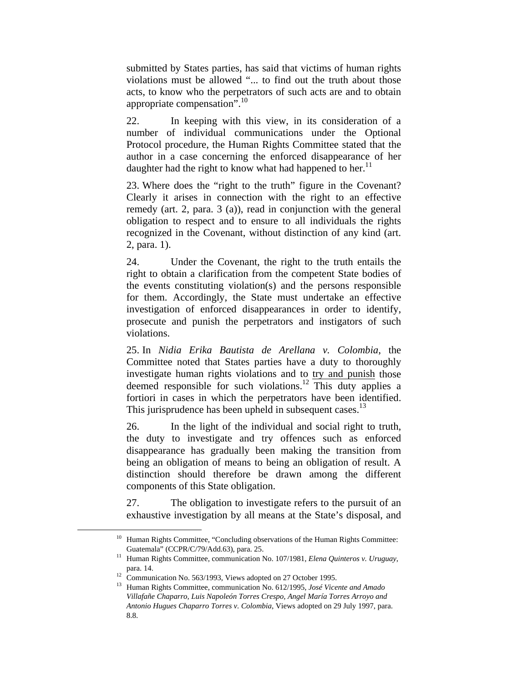submitted by States parties, has said that victims of human rights violations must be allowed "... to find out the truth about those acts, to know who the perpetrators of such acts are and to obtain appropriate compensation". $10$ 

22. In keeping with this view, in its consideration of a number of individual communications under the Optional Protocol procedure, the Human Rights Committee stated that the author in a case concerning the enforced disappearance of her daughter had the right to know what had happened to her.<sup>11</sup>

23. Where does the "right to the truth" figure in the Covenant? Clearly it arises in connection with the right to an effective remedy (art. 2, para. 3 (a)), read in conjunction with the general obligation to respect and to ensure to all individuals the rights recognized in the Covenant, without distinction of any kind (art. 2, para. 1).

24. Under the Covenant, the right to the truth entails the right to obtain a clarification from the competent State bodies of the events constituting violation(s) and the persons responsible for them. Accordingly, the State must undertake an effective investigation of enforced disappearances in order to identify, prosecute and punish the perpetrators and instigators of such violations.

25. In *Nidia Erika Bautista de Arellana v. Colombia*, the Committee noted that States parties have a duty to thoroughly investigate human rights violations and to try and punish those deemed responsible for such violations.<sup>12</sup> This duty applies a fortiori in cases in which the perpetrators have been identified. This jurisprudence has been upheld in subsequent cases.<sup>13</sup>

26. In the light of the individual and social right to truth, the duty to investigate and try offences such as enforced disappearance has gradually been making the transition from being an obligation of means to being an obligation of result. A distinction should therefore be drawn among the different components of this State obligation.

27. The obligation to investigate refers to the pursuit of an exhaustive investigation by all means at the State's disposal, and

<sup>&</sup>lt;sup>10</sup> Human Rights Committee, "Concluding observations of the Human Rights Committee:

Guatemala" (CCPR/C/79/Add.63), para. 25. 11 Human Rights Committee, communication No. 107/1981, *Elena Quinteros v. Uruguay*,

para. 14. 12 Communication No. 563/1993, Views adopted on 27 October 1995.

<sup>13</sup> Human Rights Committee, communication No. 612/1995, *José Vicente and Amado Villafañe Chaparro, Luis Napoleón Torres Crespo, Angel María Torres Arroyo and Antonio Hugues Chaparro Torres v. Colombia*, Views adopted on 29 July 1997, para. 8.8.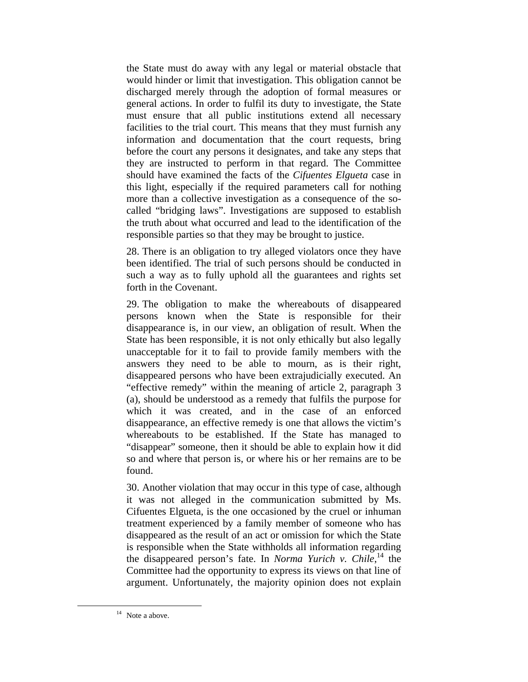the State must do away with any legal or material obstacle that would hinder or limit that investigation. This obligation cannot be discharged merely through the adoption of formal measures or general actions. In order to fulfil its duty to investigate, the State must ensure that all public institutions extend all necessary facilities to the trial court. This means that they must furnish any information and documentation that the court requests, bring before the court any persons it designates, and take any steps that they are instructed to perform in that regard. The Committee should have examined the facts of the *Cifuentes Elgueta* case in this light, especially if the required parameters call for nothing more than a collective investigation as a consequence of the socalled "bridging laws". Investigations are supposed to establish the truth about what occurred and lead to the identification of the responsible parties so that they may be brought to justice.

28. There is an obligation to try alleged violators once they have been identified. The trial of such persons should be conducted in such a way as to fully uphold all the guarantees and rights set forth in the Covenant.

29. The obligation to make the whereabouts of disappeared persons known when the State is responsible for their disappearance is, in our view, an obligation of result. When the State has been responsible, it is not only ethically but also legally unacceptable for it to fail to provide family members with the answers they need to be able to mourn, as is their right, disappeared persons who have been extrajudicially executed. An "effective remedy" within the meaning of article 2, paragraph 3 (a), should be understood as a remedy that fulfils the purpose for which it was created, and in the case of an enforced disappearance, an effective remedy is one that allows the victim's whereabouts to be established. If the State has managed to "disappear" someone, then it should be able to explain how it did so and where that person is, or where his or her remains are to be found.

30. Another violation that may occur in this type of case, although it was not alleged in the communication submitted by Ms. Cifuentes Elgueta, is the one occasioned by the cruel or inhuman treatment experienced by a family member of someone who has disappeared as the result of an act or omission for which the State is responsible when the State withholds all information regarding the disappeared person's fate. In *Norma Yurich v. Chile*, 14 the Committee had the opportunity to express its views on that line of argument. Unfortunately, the majority opinion does not explain

<sup>&</sup>lt;sup>14</sup> Note a above.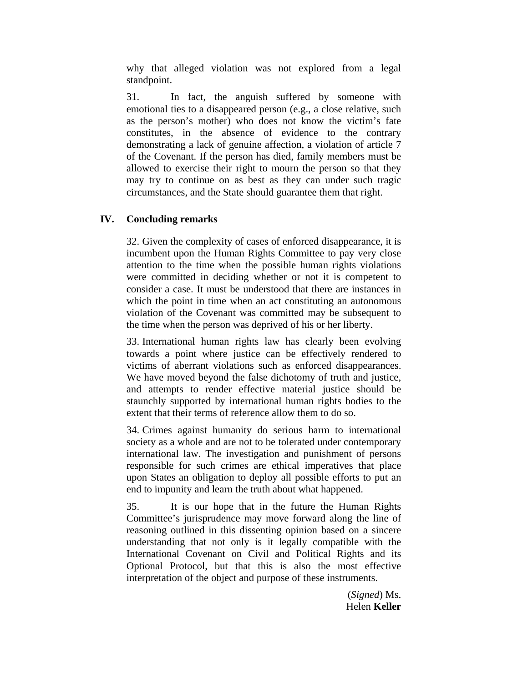why that alleged violation was not explored from a legal standpoint.

31. In fact, the anguish suffered by someone with emotional ties to a disappeared person (e.g., a close relative, such as the person's mother) who does not know the victim's fate constitutes, in the absence of evidence to the contrary demonstrating a lack of genuine affection, a violation of article 7 of the Covenant. If the person has died, family members must be allowed to exercise their right to mourn the person so that they may try to continue on as best as they can under such tragic circumstances, and the State should guarantee them that right.

# **IV. Concluding remarks**

32. Given the complexity of cases of enforced disappearance, it is incumbent upon the Human Rights Committee to pay very close attention to the time when the possible human rights violations were committed in deciding whether or not it is competent to consider a case. It must be understood that there are instances in which the point in time when an act constituting an autonomous violation of the Covenant was committed may be subsequent to the time when the person was deprived of his or her liberty.

33. International human rights law has clearly been evolving towards a point where justice can be effectively rendered to victims of aberrant violations such as enforced disappearances. We have moved beyond the false dichotomy of truth and justice, and attempts to render effective material justice should be staunchly supported by international human rights bodies to the extent that their terms of reference allow them to do so.

34. Crimes against humanity do serious harm to international society as a whole and are not to be tolerated under contemporary international law. The investigation and punishment of persons responsible for such crimes are ethical imperatives that place upon States an obligation to deploy all possible efforts to put an end to impunity and learn the truth about what happened.

35. It is our hope that in the future the Human Rights Committee's jurisprudence may move forward along the line of reasoning outlined in this dissenting opinion based on a sincere understanding that not only is it legally compatible with the International Covenant on Civil and Political Rights and its Optional Protocol, but that this is also the most effective interpretation of the object and purpose of these instruments.

> (*Signed*) Ms. Helen **Keller**